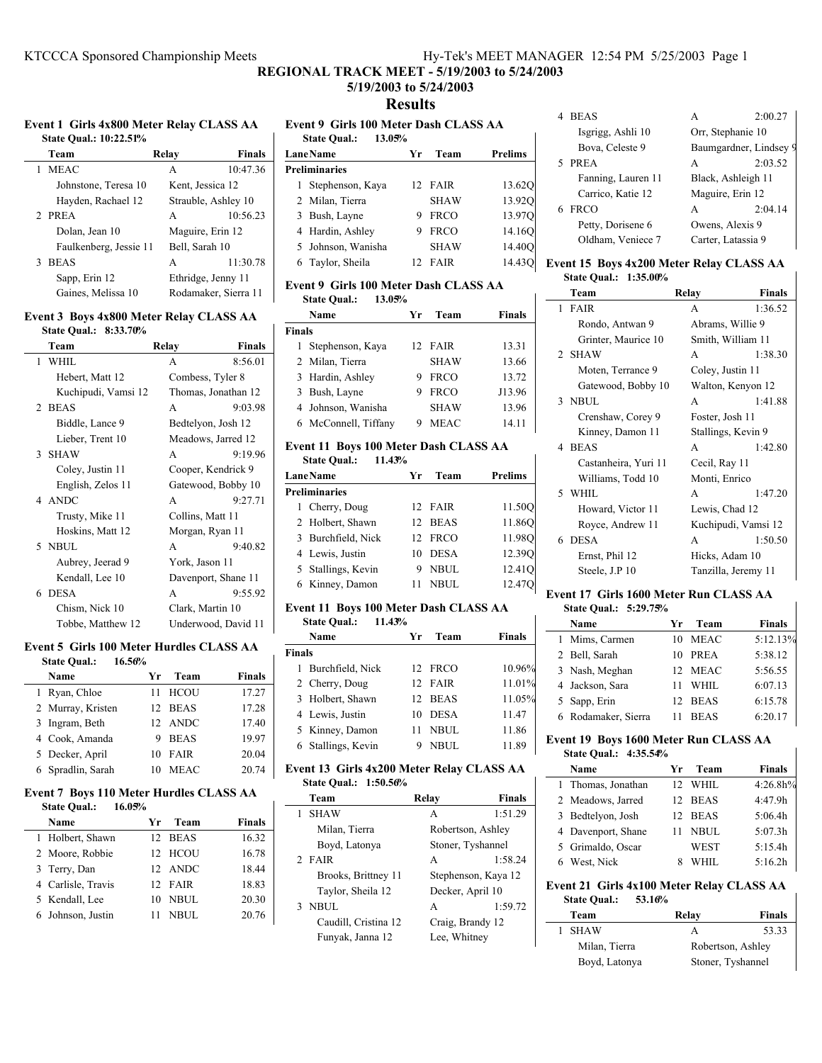## **5/19/2003 to 5/24/2003 Results**

#### **Event 1 Girls 4x800 Meter Relay CLASS AA State Qual.: 10:22.51%**

| Team                   | <b>Finals</b><br>Relav |
|------------------------|------------------------|
| <b>MEAC</b>            | 10:47.36<br>A          |
| Johnstone, Teresa 10   | Kent, Jessica 12       |
| Hayden, Rachael 12     | Strauble, Ashley 10    |
| 2 PREA                 | 10:56.23<br>A          |
| Dolan, Jean 10         | Maguire, Erin 12       |
| Faulkenberg, Jessie 11 | Bell, Sarah 10         |
| <b>BEAS</b>            | 11:30.78<br>A          |
| Sapp, Erin 12          | Ethridge, Jenny 11     |
| Gaines, Melissa 10     | Rodamaker, Sierra 11   |
|                        |                        |

### **Event 3 Boys 4x800 Meter Relay CLASS AA**

| State Qual.: 8:33.70% |                        |
|-----------------------|------------------------|
| Team                  | <b>Finals</b><br>Relay |
| WHIL<br>1.            | 8:56.01<br>A           |
| Hebert, Matt 12       | Combess, Tyler 8       |
| Kuchipudi, Vamsi 12   | Thomas, Jonathan 12    |
| 2 BEAS                | 9:03.98<br>A           |
| Biddle, Lance 9       | Bedtelyon, Josh 12     |
| Lieber, Trent 10      | Meadows, Jarred 12     |
| 3 SHAW                | 9:19.96<br>A           |
| Coley, Justin 11      | Cooper, Kendrick 9     |
| English, Zelos 11     | Gatewood, Bobby 10     |
| 4 ANDC                | 9:27.71<br>A           |
| Trusty, Mike 11       | Collins, Matt 11       |
| Hoskins, Matt 12      | Morgan, Ryan 11        |
| 5 NBUL                | 9:40.82<br>A           |
| Aubrey, Jeerad 9      | York, Jason 11         |
| Kendall, Lee 10       | Davenport, Shane 11    |
| 6 DESA                | A<br>9:55.92           |
| Chism, Nick 10        | Clark, Martin 10       |
| Tobbe, Matthew 12     | Underwood, David 11    |

#### **Event 5 Girls 100 Meter Hurdles CLASS AA State Qual.: 16.56%**

| Name              | Уr | Team        | <b>Finals</b> |
|-------------------|----|-------------|---------------|
| 1 Ryan, Chloe     |    | 11 HCOU     | 17.27         |
| 2 Murray, Kristen |    | 12 BEAS     | 17.28         |
| 3 Ingram, Beth    |    | 12 ANDC     | 17.40         |
| 4 Cook, Amanda    |    | 9 BEAS      | 19.97         |
| 5 Decker, April   |    | 10 FAIR     | 20.04         |
| 6 Spradlin, Sarah | 10 | <b>MEAC</b> | 20.74         |

#### Event 7 Boys 110 Meter Hurdles CLASS AA<br>State Qual : 16.05% **State Qual.: 16.05%**

| State Qual.:<br>10.03% |    |         |               |
|------------------------|----|---------|---------------|
| Name                   | Уr | Team    | <b>Finals</b> |
| 1 Holbert, Shawn       |    | 12 BEAS | 16.32         |
| 2 Moore, Robbie        |    | 12 HCOU | 16.78         |
| 3 Terry, Dan           |    | 12 ANDC | 18.44         |
| 4 Carlisle, Travis     |    | 12 FAIR | 18.83         |
| 5 Kendall, Lee         |    | 10 NBUL | 20.30         |
| 6 Johnson, Justin      | 11 | NBUL.   | 20.76         |

## **Event 9 Girls 100 Meter Dash CLASS AA State Qual.: 13.05% LaneName Team** Prelims **Preliminaries** 1 Stephenson, Kaya 12 FAIR 13.62Q 2 Milan, Tierra SHAW 13.92Q

| 3 Bush, Layne      | 9 FRCO      | 13.970             |
|--------------------|-------------|--------------------|
| 4 Hardin, Ashley   | 9 FRCO      | 14.160             |
| 5 Johnson, Wanisha | <b>SHAW</b> | 14.40O             |
| 6 Taylor, Sheila   | 12 FAIR     | 14.43 <sub>O</sub> |
|                    |             |                    |

## **Event 9 Girls 100 Meter Dash CLASS AA**

**State Qual.: 13.05%**

 $\mathbf{I}$ 

|               | Name                 | Уr | Team        | <b>Finals</b> |
|---------------|----------------------|----|-------------|---------------|
| <b>Finals</b> |                      |    |             |               |
|               | 1 Stephenson, Kaya   |    | 12. FAIR    | 13.31         |
|               | 2 Milan, Tierra      |    | <b>SHAW</b> | 13.66         |
|               | 3 Hardin, Ashley     | 9  | <b>FRCO</b> | 13.72         |
|               | 3 Bush, Layne        | 9  | <b>FRCO</b> | J13.96        |
|               | 4 Johnson, Wanisha   |    | <b>SHAW</b> | 13.96         |
|               | 6 McConnell, Tiffany |    | <b>MEAC</b> | 14.11         |

### **Event 11 Boys 100 Meter Dash CLASS AA State Qual.: 11.43%**

| $\sim$ $\sim$ $\sim$ $\sim$ $\sim$ $\sim$ $\sim$ |    |         |                    |
|--------------------------------------------------|----|---------|--------------------|
| <b>LaneName</b>                                  | Уr | Team    | <b>Prelims</b>     |
| <b>Preliminaries</b>                             |    |         |                    |
| 1 Cherry, Doug                                   |    | 12 FAIR | 11.500             |
| 2 Holbert, Shawn                                 |    | 12 BEAS | 11.860             |
| 3 Burchfield, Nick                               |    | 12 FRCO | 11.980             |
| 4 Lewis, Justin                                  | 10 | DESA    | 12.390             |
| 5 Stallings, Kevin                               |    | 9 NBUL  | 12.41 <sub>O</sub> |
| 6 Kinney, Damon                                  |    | NBUL    | 12.470             |

## **Event 11 Boys 100 Meter Dash CLASS AA**

**State Qual.: 11.43% Name Yr Team Finals Finals** 1 Burchfield, Nick 12 FRCO 10.96% 2 Cherry, Doug 12 FAIR 11.01% 3 Holbert, Shawn 12 BEAS 11.05% 4 11.47 Lewis, Justin 10 DESA 5 Kinney, Damon 11 NBUL 11.86 6 11.89 Stallings, Kevin 9 NBUL

#### **Event 13 Girls 4x200 Meter Relay CLASS AA State Qual.: 1:50.56%**

| <br>---------        |                   |                     |
|----------------------|-------------------|---------------------|
| Team                 | Relav             | <b>Finals</b>       |
| <b>SHAW</b><br>1     | A                 | 1:51.29             |
| Milan, Tierra        | Robertson, Ashley |                     |
| Boyd, Latonya        | Stoner, Tyshannel |                     |
| 2 FAIR               | A                 | 1:58.24             |
| Brooks, Brittney 11  |                   | Stephenson, Kaya 12 |
| Taylor, Sheila 12    | Decker, April 10  |                     |
| 3 NBUL               | A                 | 1:59.72             |
| Caudill, Cristina 12 | Craig, Brandy 12  |                     |
| Funyak, Janna 12     | Lee, Whitney      |                     |
|                      |                   |                     |

| 4 BEAS             | А                  | 2:00.27                |
|--------------------|--------------------|------------------------|
| Isgrigg, Ashli 10  | Orr, Stephanie 10  |                        |
| Bova, Celeste 9    |                    | Baumgardner, Lindsey 9 |
| PREA<br>5          | А                  | 2:03.52                |
| Fanning, Lauren 11 | Black, Ashleigh 11 |                        |
| Carrico, Katie 12  | Maguire, Erin 12   |                        |
| <b>FRCO</b><br>6   | A                  | 2:04.14                |
| Petty, Dorisene 6  | Owens, Alexis 9    |                        |
| Oldham, Veniece 7  | Carter, Latassia 9 |                        |

### **Event 15 Boys 4x200 Meter Relay CLASS AA State Qual.: 1:35.00%**

| Team                 | Relay<br><b>Finals</b> |
|----------------------|------------------------|
| 1 FAIR               | 1:36.52<br>A           |
| Rondo, Antwan 9      | Abrams, Willie 9       |
| Grinter, Maurice 10  | Smith, William 11      |
| 2 SHAW               | 1:38.30<br>A           |
| Moten, Terrance 9    | Coley, Justin 11       |
| Gatewood, Bobby 10   | Walton, Kenyon 12      |
| 3 NBUL               | 1:41.88<br>A           |
| Crenshaw, Corey 9    | Foster, Josh 11        |
| Kinney, Damon 11     | Stallings, Kevin 9     |
| 4 BEAS               | A<br>1:42.80           |
| Castanheira, Yuri 11 | Cecil, Ray 11          |
| Williams, Todd 10    | Monti, Enrico          |
| 5 WHIL               | 1:47.20<br>A           |
| Howard, Victor 11    | Lewis, Chad 12         |
| Royce, Andrew 11     | Kuchipudi, Vamsi 12    |
| 6 DESA               | 1:50.50<br>A           |
| Ernst, Phil 12       | Hicks, Adam 10         |
| Steele, J.P 10       | Tanzilla, Jeremy 11    |

### **Event 17 Girls 1600 Meter Run CLASS AA**

# **State Qual.: 5:29.75%**

| Name                | Vг  | Team        | <b>Finals</b> |
|---------------------|-----|-------------|---------------|
| 1 Mims, Carmen      | 10  | MEAC        | 5:12.13%      |
| 2 Bell, Sarah       | 10  | PREA        | 5:38.12       |
| 3 Nash, Meghan      | 12. | MEAC        | 5:56.55       |
| 4 Jackson, Sara     |     | WHIL.       | 6:07.13       |
| 5 Sapp, Erin        | 12. | <b>BEAS</b> | 6:15.78       |
| 6 Rodamaker, Sierra |     | <b>BEAS</b> | 6:20.17       |

#### **Event 19 Boys 1600 Meter Run CLASS AA State Qual.: 4:35.54%**

 $\mathbf{I}$ 

| Name                                      | Yr | Team        | <b>Finals</b> |
|-------------------------------------------|----|-------------|---------------|
| 1 Thomas, Jonathan                        |    | 12 WHIL     | 4:26.8h%      |
| 2 Meadows, Jarred                         |    | 12 BEAS     | 4:47.9h       |
| 3 Bedtelyon, Josh                         |    | 12 BEAS     | 5:06.4h       |
| 4 Davenport, Shane                        |    | <b>NBUL</b> | 5:07.3h       |
| 5 Grimaldo, Oscar                         |    | <b>WEST</b> | 5:15.4h       |
| 6 West, Nick                              | 8  | WHIL        | 5:16.2h       |
| Event 21 Cirls 4x100 Meter Relay CLASS AA |    |             |               |

### **Event 21 Girls 4x100 Meter Relay CLA State Qual.: 53.16%**

| Team          | Relay             | Finals |
|---------------|-------------------|--------|
| 1 SHAW        | А                 | 53.33  |
| Milan, Tierra | Robertson, Ashley |        |
| Boyd, Latonya | Stoner, Tyshannel |        |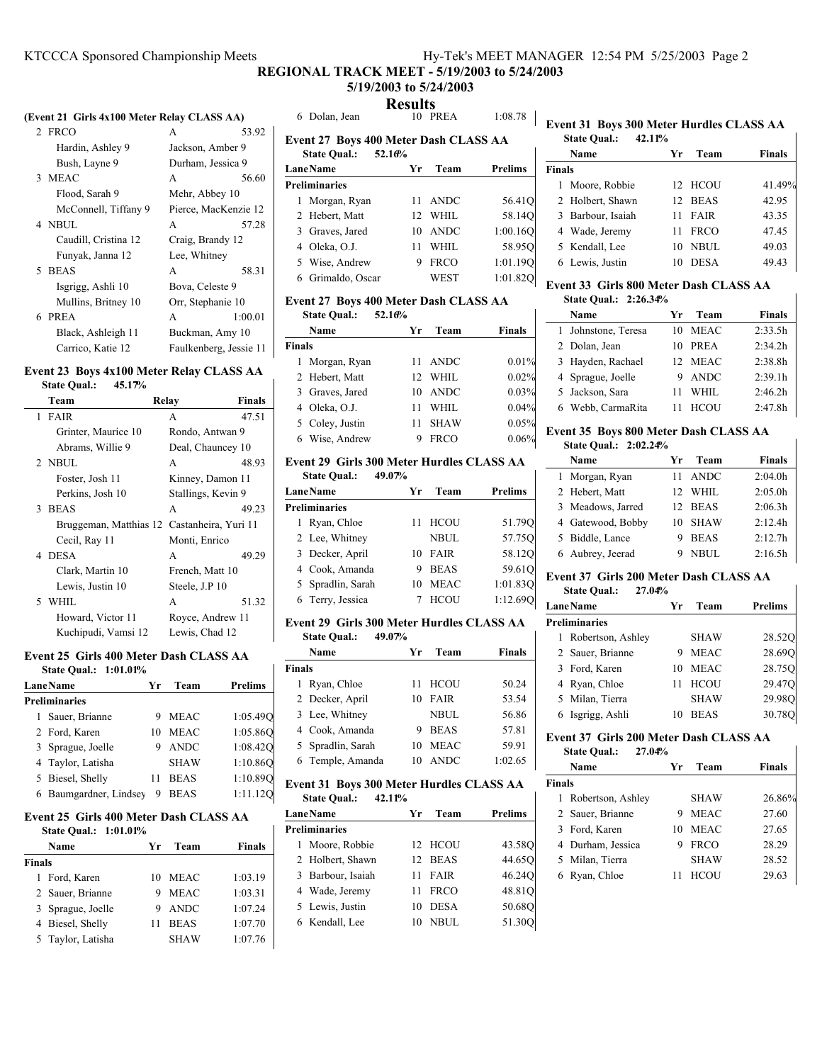# **5/19/2003 to 5/24/2003**

**Results**

### **(Event 21 Girls 4x100 Meter Relay CLASS AA)**

| 2 FRCO               | 53.92<br>A             |
|----------------------|------------------------|
| Hardin, Ashley 9     | Jackson, Amber 9       |
| Bush, Layne 9        | Durham, Jessica 9      |
| 3 MEAC               | 56.60<br>A             |
| Flood, Sarah 9       | Mehr, Abbey 10         |
| McConnell, Tiffany 9 | Pierce, MacKenzie 12   |
| 4 NBUL               | 57.28<br>A             |
| Caudill, Cristina 12 | Craig, Brandy 12       |
| Funyak, Janna 12     | Lee, Whitney           |
| 5 BEAS               | 58.31<br>A             |
| Isgrigg, Ashli 10    | Bova, Celeste 9        |
| Mullins, Britney 10  | Orr, Stephanie 10      |
| 6 PREA               | 1:00.01<br>A           |
| Black, Ashleigh 11   | Buckman, Amy 10        |
| Carrico, Katie 12    | Faulkenberg, Jessie 11 |

#### **Event 23 Boys 4x100 Meter Relay CLASS AA State Qual.: 45.17%**

| statt Vuan.<br>73.L/0  |                    |                      |
|------------------------|--------------------|----------------------|
| Team                   | Relav              | <b>Finals</b>        |
| 1 FAIR                 | A                  | 47.51                |
| Grinter, Maurice 10    | Rondo, Antwan 9    |                      |
| Abrams, Willie 9       | Deal, Chauncey 10  |                      |
| 2 NBUL                 | A                  | 48.93                |
| Foster, Josh 11        | Kinney, Damon 11   |                      |
| Perkins, Josh 10       | Stallings, Kevin 9 |                      |
| 3 BEAS                 | A                  | 49.23                |
| Bruggeman, Matthias 12 |                    | Castanheira, Yuri 11 |
| Cecil, Ray 11          | Monti, Enrico      |                      |
| 4 DESA                 | A                  | 49.29                |
| Clark, Martin 10       | French, Matt 10    |                      |
| Lewis, Justin 10       | Steele, J.P 10     |                      |
| 5 WHIL                 | A                  | 51.32                |
| Howard, Victor 11      | Royce, Andrew 11   |                      |
| Kuchipudi, Vamsi 12    | Lewis, Chad 12     |                      |

### **Event 25 Girls 400 Meter Dash CLASS AA**

| етин дэ динэ тоо мин. разн с един тих<br><b>State Oual.: 1:01.01%</b> |    |             |                |   |  |
|-----------------------------------------------------------------------|----|-------------|----------------|---|--|
| <b>Lane Name</b>                                                      | Yr | Team        | <b>Prelims</b> |   |  |
| <b>Preliminaries</b>                                                  |    |             |                |   |  |
| Sauer, Brianne                                                        | 9  | <b>MEAC</b> | 1:05.490       |   |  |
| 2 Ford, Karen                                                         | 10 | <b>MEAC</b> | 1:05.86O       |   |  |
| 3 Sprague, Joelle                                                     | 9  | <b>ANDC</b> | 1:08.42O       |   |  |
| 4 Taylor, Latisha                                                     |    | SHAW        | 1:10.860       |   |  |
| 5 Biesel, Shelly                                                      | 11 | <b>BEAS</b> | 1:10.890       | F |  |
| 6 Baumgardner, Lindsey                                                | 9  | <b>BEAS</b> | 1:11.12        |   |  |

### **Event 25 Girls 400 Meter Dash CLASS AA State Qual.: 1:01.01%**

|        | Name              | Yr. | Team        | <b>Finals</b> |
|--------|-------------------|-----|-------------|---------------|
| Finals |                   |     |             |               |
|        | 1 Ford, Karen     |     | 10 MEAC     | 1:03.19       |
|        | 2 Sauer, Brianne  | 9   | <b>MEAC</b> | 1:03.31       |
|        | 3 Sprague, Joelle | 9   | ANDC        | 1:07.24       |
|        | 4 Biesel, Shelly  | 11  | <b>BEAS</b> | 1:07.70       |
|        | 5 Taylor, Latisha |     | <b>SHAW</b> | 1:07.76       |
|        |                   |     |             |               |

| 6 Dolan, Jean                                                | 10 PREA    | 1:08.78        |
|--------------------------------------------------------------|------------|----------------|
| Event 27 Boys 400 Meter Dash CLASS AA<br>State Qual.: 52.16% |            |                |
| <b>LaneName</b>                                              | Team<br>Yr | <b>Prelims</b> |
| Preliminaries                                                |            |                |
| 1 Morgan, Ryan                                               | 11 ANDC    | 56.41Q         |

| 2 Hebert, Matt    | 12 WHIL | 58.140   |
|-------------------|---------|----------|
| 3 Graves, Jared   | 10 ANDC | 1:00.160 |
| 4 Oleka, O.J.     | 11 WHIL | 58.950   |
| 5 Wise, Andrew    | 9 FRCO  | 1:01.190 |
| 6. Grimaldo Oscar | WEST    | 1.01820  |

### **Event 27 Boys 400 Meter Dash CLASS AA**

**State Qual.: 52.16%**

|               | Name            | Yг              | Team        | <b>Finals</b> |
|---------------|-----------------|-----------------|-------------|---------------|
| <b>Finals</b> |                 |                 |             |               |
|               | 1 Morgan, Ryan  |                 | 11 ANDC     | 0.01%         |
|               | 2 Hebert, Matt  | 12 <sub>1</sub> | WHIL        | 0.02%         |
|               | 3 Graves, Jared | 10              | ANDC        | 0.03%         |
|               | 4 Oleka, O.J.   | 11              | WHIL.       | 0.04%         |
|               | 5 Coley, Justin | 11              | <b>SHAW</b> | 0.05%         |
|               | 6 Wise, Andrew  | 9               | <b>FRCO</b> | 0.06%         |

#### **Event 29 Girls 300 Meter Hurdles CLASS AA State Qual.: 49.07%**

| state Qual<br>72.VI/0 |    |             |          |
|-----------------------|----|-------------|----------|
| <b>LaneName</b>       | Уr | Team        | Prelims  |
| <b>Preliminaries</b>  |    |             |          |
| 1 Ryan, Chloe         | 11 | <b>HCOU</b> | 51.790   |
| 2 Lee, Whitney        |    | <b>NBUL</b> | 57.750   |
| 3 Decker, April       | 10 | FAIR        | 58.120   |
| 4 Cook, Amanda        | 9  | <b>BEAS</b> | 59.610   |
| 5 Spradlin, Sarah     | 10 | <b>MEAC</b> | 1:01.830 |
| 6 Terry, Jessica      |    | <b>HCOU</b> | 1:12.690 |

### **Event 29 Girls 300 Meter Hurdles CLASS AA State Qual.: 49.07%**

|        | Name              | Уr | Team        | <b>Finals</b> |
|--------|-------------------|----|-------------|---------------|
| Finals |                   |    |             |               |
|        | 1 Ryan, Chloe     | 11 | <b>HCOU</b> | 50.24         |
|        | 2 Decker, April   | 10 | <b>FAIR</b> | 53.54         |
|        | 3 Lee, Whitney    |    | <b>NBUL</b> | 56.86         |
|        | 4 Cook, Amanda    | 9  | <b>BEAS</b> | 57.81         |
|        | 5 Spradlin, Sarah | 10 | MEAC        | 59.91         |
|        | 6 Temple, Amanda  | 10 | ANDC        | 1:02.65       |

#### **Event 31 Boys 300 Meter Hurdles CLASS AA State Qual.: 42.11%**

 $\overline{\phantom{a}}$ 

| statt Vual<br>74.LL/V |    |             |         |
|-----------------------|----|-------------|---------|
| <b>LaneName</b>       | Yr | Team        | Prelims |
| <b>Preliminaries</b>  |    |             |         |
| 1 Moore, Robbie       |    | 12 HCOU     | 43.58O  |
| 2 Holbert, Shawn      |    | 12 BEAS     | 44.65Q  |
| 3 Barbour, Isaiah     | 11 | FAIR        | 46.24O  |
| 4 Wade, Jeremy        | 11 | <b>FRCO</b> | 48.81Q  |
| 5 Lewis, Justin       | 10 | <b>DESA</b> | 50.680  |
| 6 Kendall, Lee        | 10 | <b>NBUL</b> | 51.300  |
|                       |    |             |         |

### **Event 31 Boys 300 Meter Hurdles CLASS AA State Qual.: 42.11%**

 $\mathbf{I}$ 

 $\mathsf{l}$ 

 $\mathbf{I}$ 

| Уr                                                                                                                                       | Team        | <b>Finals</b>          |
|------------------------------------------------------------------------------------------------------------------------------------------|-------------|------------------------|
|                                                                                                                                          |             |                        |
|                                                                                                                                          |             | 41.49%                 |
| 12 <sub>1</sub>                                                                                                                          |             | 42.95                  |
| 11                                                                                                                                       | <b>FAIR</b> | 43.35                  |
| 11                                                                                                                                       | <b>FRCO</b> | 47.45                  |
| 10                                                                                                                                       | NBUL.       | 49.03                  |
|                                                                                                                                          | <b>DESA</b> | 49.43                  |
| Name<br><b>Finals</b><br>1 Moore, Robbie<br>2 Holbert, Shawn<br>3 Barbour, Isaiah<br>4 Wade, Jeremy<br>5 Kendall, Lee<br>6 Lewis, Justin |             | 12 HCOU<br><b>BEAS</b> |

## 6 Grimaldo, Oscar WEST 1:01.82Q **Event 33 Girls 800 Meter Dash CLASS AA State Qual.: 2:26.34%**

| Name                | Team<br>Уr  | <b>Finals</b> |
|---------------------|-------------|---------------|
| 1 Johnstone, Teresa | MEAC<br>10  | 2:33.5h       |
| 2 Dolan, Jean       | PREA<br>10  | 2:34.2h       |
| 3 Hayden, Rachael   | 12 MEAC     | 2:38.8h       |
| 4 Sprague, Joelle   | ANDC<br>9   | 2:39.1h       |
| 5 Jackson, Sara     | WHIL.<br>11 | 2:46.2h       |
| 6 Webb, CarmaRita   | <b>HCOU</b> | 2:47.8h       |

## **Event 35 Boys 800 Meter Dash CLASS AA**

## **State Qual.: 2:02.24%**

| Name              | Уr | Team        | <b>Finals</b> |
|-------------------|----|-------------|---------------|
| 1 Morgan, Ryan    | 11 | ANDC        | 2:04.0h       |
| 2 Hebert, Matt    | 12 | <b>WHIL</b> | 2:05.0h       |
| 3 Meadows, Jarred |    | 12 BEAS     | 2:06.3h       |
| 4 Gatewood, Bobby | 10 | <b>SHAW</b> | 2:12.4h       |
| 5 Biddle, Lance   |    | <b>BEAS</b> | 2:12.7h       |
| 6 Aubrey, Jeerad  |    | NBUL        | 2:16.5h       |

### **Event 37 Girls 200 Meter Dash CLASS AA State Qual.: 27.04%**

| <b>LaneName</b>      | Уr | Team        | <b>Prelims</b> |
|----------------------|----|-------------|----------------|
| <b>Preliminaries</b> |    |             |                |
| 1 Robertson, Ashley  |    | <b>SHAW</b> | 28.520         |
| 2 Sauer, Brianne     |    | <b>MEAC</b> | 28.690         |
| 3 Ford, Karen        | 10 | <b>MEAC</b> | 28.75Q         |
| 4 Ryan, Chloe        |    | <b>HCOU</b> | 29.47O         |
| 5 Milan, Tierra      |    | <b>SHAW</b> | 29.98O         |
| 6 Isgrigg, Ashli     | 10 | <b>BEAS</b> | 30.78C         |

### **Event 37 Girls 200 Meter Dash CLASS AA State Qual.: 27.04%**

|        | suur vuun<br><i><u><b>AISV</b></u></i> |    |             |        |
|--------|----------------------------------------|----|-------------|--------|
|        | Name                                   | Уr | Team        | Finals |
| Finals |                                        |    |             |        |
|        | 1 Robertson, Ashley                    |    | <b>SHAW</b> | 26.86% |
|        | 2 Sauer, Brianne                       | 9  | <b>MEAC</b> | 27.60  |
|        | 3 Ford, Karen                          | 10 | <b>MEAC</b> | 27.65  |
|        | 4 Durham, Jessica                      | 9  | <b>FRCO</b> | 28.29  |
|        | 5 Milan, Tierra                        |    | <b>SHAW</b> | 28.52  |
|        | 6 Ryan, Chloe                          |    | <b>HCOU</b> | 29.63  |
|        |                                        |    |             |        |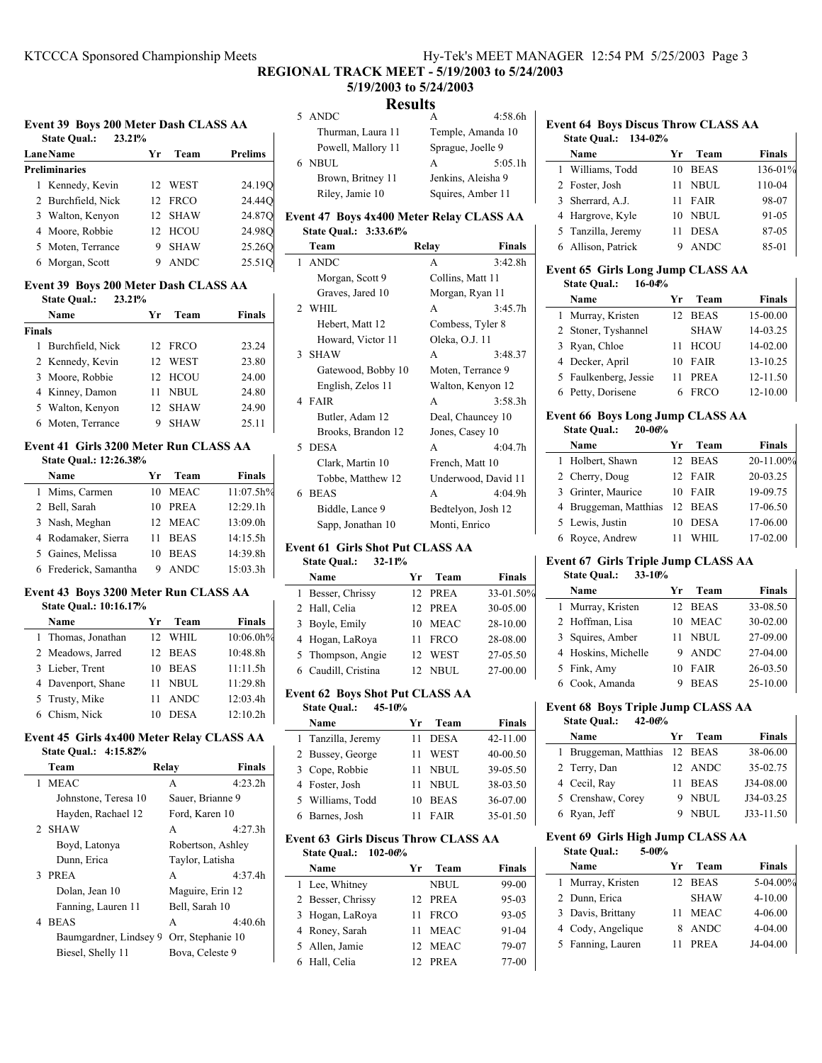# **5/19/2003 to 5/24/2003**

|  |  | Event 39 Boys 200 Meter Dash CLASS AA |  |
|--|--|---------------------------------------|--|
|--|--|---------------------------------------|--|

| 23.21%<br><b>State Qual.:</b> |    |             |                |
|-------------------------------|----|-------------|----------------|
| <b>Lane Name</b>              | Yr | Team        | <b>Prelims</b> |
| <b>Preliminaries</b>          |    |             |                |
| 1 Kennedy, Kevin              |    | 12 WEST     | 24.19O         |
| 2 Burchfield, Nick            |    | 12 FRCO     | 24.44Q         |
| 3 Walton, Kenyon              |    | 12 SHAW     | 24.87Q         |
| 4 Moore, Robbie               |    | 12 HCOU     | 24.98O         |
| 5 Moten, Terrance             | 9  | <b>SHAW</b> | 25.260         |
| 6 Morgan, Scott               | 9  | <b>ANDC</b> | 25.51Q         |
|                               |    |             |                |

### **Event 39 Boys 200 Meter Dash CLASS AA State Qual.: 23.21%**

|        | Name               | Уr | Team        | Finals |
|--------|--------------------|----|-------------|--------|
| Finals |                    |    |             |        |
|        | 1 Burchfield, Nick |    | 12 FRCO     | 23.24  |
|        | 2 Kennedy, Kevin   |    | 12 WEST     | 23.80  |
|        | 3 Moore, Robbie    |    | 12 HCOU     | 24.00  |
|        | 4 Kinney, Damon    | 11 | NBUL.       | 24.80  |
|        | 5 Walton, Kenyon   |    | 12 SHAW     | 24.90  |
|        | 6 Moten, Terrance  | 9  | <b>SHAW</b> | 25.11  |

### **Event 41 Girls 3200 Meter Run CLASS AA State Qual.: 12:26.38%**

| Name                  | Уr | Team        | Finals    |
|-----------------------|----|-------------|-----------|
| 1 Mims, Carmen        | 10 | MEAC        | 11:07.5h% |
| 2 Bell, Sarah         | 10 | PREA        | 12:29.1h  |
| 3 Nash, Meghan        |    | 12 MEAC     | 13:09.0h  |
| 4 Rodamaker, Sierra   | 11 | <b>BEAS</b> | 14:15.5h  |
| 5 Gaines, Melissa     | 10 | <b>BEAS</b> | 14:39.8h  |
| 6 Frederick, Samantha | 9  | <b>ANDC</b> | 15:03.3h  |

#### **Event 43 Boys 3200 Meter Run CLASS AA State Qual.: 10:16.17%**

| 9000 Vual., 19,19,1770 |         |             |               |
|------------------------|---------|-------------|---------------|
| Name                   | Уr      | Team        | <b>Finals</b> |
| 1 Thomas, Jonathan     | 12 WHIL |             | 10:06.0h%     |
| 2 Meadows, Jarred      | 12 BEAS |             | 10:48.8h      |
| 3 Lieber, Trent        | 10      | <b>BEAS</b> | 11:11.5h      |
| 4 Davenport, Shane     | 11      | NBUL        | 11:29.8h      |
| 5 Trusty, Mike         | 11      | ANDC        | 12:03.4h      |
| 6 Chism, Nick          | 10      | <b>DESA</b> | 12:10.2h      |

### **Event 45 Girls 4x400 Meter Relay CLASS AA State Qual.: 4:15.82%**

| Team                   | Relay             | <b>Finals</b>       |
|------------------------|-------------------|---------------------|
| 1 MEAC                 | A                 | 4:23.2 <sub>h</sub> |
| Johnstone, Teresa 10   | Sauer, Brianne 9  |                     |
| Hayden, Rachael 12     | Ford, Karen 10    |                     |
| 2 SHAW                 | A                 | 4:27.3h             |
| Boyd, Latonya          | Robertson, Ashley |                     |
| Dunn, Erica            | Taylor, Latisha   |                     |
| 3 PREA                 | A                 | 4:37.4h             |
| Dolan, Jean 10         | Maguire, Erin 12  |                     |
| Fanning, Lauren 11     | Bell, Sarah 10    |                     |
| 4 BEAS                 | A                 | 4:40.6h             |
| Baumgardner, Lindsey 9 | Orr, Stephanie 10 |                     |
| Biesel, Shelly 11      | Bova, Celeste 9   |                     |
|                        |                   |                     |

| <b>Results</b>                          |                    |   |                   |  |  |
|-----------------------------------------|--------------------|---|-------------------|--|--|
|                                         | 5 ANDC             |   | 4:58.6h           |  |  |
|                                         | Thurman, Laura 11  |   | Temple, Amanda 10 |  |  |
|                                         | Powell, Mallory 11 |   | Sprague, Joelle 9 |  |  |
|                                         | NBUL.              | A | 5:05.1h           |  |  |
| Brown, Britney 11<br>Jenkins, Aleisha 9 |                    |   |                   |  |  |

# Riley, Jamie 10 Squires, Amber 11 **Event 47 Boys 4x400 Meter Relay CLASS AA**

**State Qual.: 3:33.61%**

| Team               | Relay            | <b>Finals</b>       |
|--------------------|------------------|---------------------|
| 1 ANDC             | A                | 3:42.8h             |
| Morgan, Scott 9    | Collins, Matt 11 |                     |
| Graves, Jared 10   |                  | Morgan, Ryan 11     |
| 2 WHIL             | A                | 3:45.7h             |
| Hebert, Matt 12    |                  | Combess, Tyler 8    |
| Howard, Victor 11  | Oleka, O.J. 11   |                     |
| 3 SHAW             | A                | 3:48.37             |
| Gatewood, Bobby 10 |                  | Moten, Terrance 9   |
| English, Zelos 11  |                  | Walton, Kenyon 12   |
| 4 FAIR             | A                | 3:58.3h             |
| Butler, Adam 12    |                  | Deal, Chauncey 10   |
| Brooks, Brandon 12 | Jones, Casey 10  |                     |
| 5 DESA             | A                | 4:04.7h             |
| Clark, Martin 10   | French, Matt 10  |                     |
| Tobbe, Matthew 12  |                  | Underwood, David 11 |
| 6 BEAS             | A                | 4:04.9h             |
| Biddle, Lance 9    |                  | Bedtelyon, Josh 12  |
| Sapp, Jonathan 10  | Monti, Enrico    |                     |
|                    |                  |                     |

## **Event 61 Girls Shot Put CLASS AA**

## **State Qual.: 32-11%**

| Name                | Yг | Team        | <b>Finals</b> |
|---------------------|----|-------------|---------------|
| 1 Besser, Chrissy   |    | 12 PREA     | 33-01.50%     |
| 2 Hall, Celia       |    | 12 PREA     | 30-05.00      |
| 3 Boyle, Emily      | 10 | <b>MEAC</b> | 28-10.00      |
| 4 Hogan, LaRoya     | 11 | <b>FRCO</b> | 28-08.00      |
| 5 Thompson, Angie   | 12 | WEST        | 27-05.50      |
| 6 Caudill, Cristina |    | NBUL        | 27-00.00      |

## **Event 62 Boys Shot Put CLASS AA**

| <b>State Qual.:</b><br>45-10% |                   |               |  |  |
|-------------------------------|-------------------|---------------|--|--|
| Name                          | Team<br>Yr        | <b>Finals</b> |  |  |
| 1 Tanzilla, Jeremy            | <b>DESA</b><br>11 | $42 - 11.00$  |  |  |
| 2 Bussey, George              | <b>WEST</b><br>11 | $40 - 00.50$  |  |  |
| 3 Cope, Robbie                | NBUL.<br>11       | 39-05.50      |  |  |
| 4 Foster, Josh                | NBUL.<br>11       | 38-03.50      |  |  |
| 5 Williams, Todd              | <b>BEAS</b><br>10 | 36-07.00      |  |  |
| 6 Barnes, Josh                | <b>FAIR</b><br>11 | 35-01.50      |  |  |

#### **Event 63 Girls Discus Throw CLASS AA State Qual.: 102-06%**

| state vual<br>$194 - 0070$ |                   |    |             |               |
|----------------------------|-------------------|----|-------------|---------------|
|                            | Name              | Yг | Team        | <b>Finals</b> |
|                            | 1 Lee, Whitney    |    | <b>NBUL</b> | 99-00         |
|                            | 2 Besser, Chrissy |    | 12 PREA     | 95-03         |
|                            | 3 Hogan, LaRoya   |    | 11 FRCO     | 93-05         |
|                            | 4 Roney, Sarah    | 11 | MEAC        | 91-04         |
|                            | 5 Allen, Jamie    |    | 12 MEAC     | 79-07         |
|                            | 6 Hall, Celia     |    | 12 PREA     | $77-00$       |
|                            |                   |    |             |               |

#### **Event 64 Boys Discus Throw CLASS AA State Qual.: 134-02%**

| <b>State Oual.: 134-02%</b> |    |             |               |
|-----------------------------|----|-------------|---------------|
| Name                        | Уr | Team        | <b>Finals</b> |
| 1 Williams, Todd            | 10 | <b>BEAS</b> | 136-01%       |
| 2 Foster, Josh              | 11 | <b>NBUL</b> | 110-04        |
| 3 Sherrard, A.J.            | 11 | FAIR        | 98-07         |
| 4 Hargrove, Kyle            | 10 | NBUL.       | 91-05         |
| 5 Tanzilla, Jeremy          |    | <b>DESA</b> | 87-05         |
| 6 Allison, Patrick          |    | <b>ANDC</b> | 85-01         |

### **Event 65 Girls Long Jump CLASS AA State Qual.: 16-04%**

| Name                  | Уr | Team        | <b>Finals</b> |
|-----------------------|----|-------------|---------------|
| 1 Murray, Kristen     |    | 12 BEAS     | 15-00.00      |
| 2 Stoner, Tyshannel   |    | <b>SHAW</b> | 14-03.25      |
| 3 Ryan, Chloe         |    | 11 HCOU     | 14-02.00      |
| 4 Decker, April       | 10 | FAIR        | 13-10.25      |
| 5 Faulkenberg, Jessie | 11 | PREA        | 12-11.50      |
| 6 Petty, Dorisene     |    | <b>FRCO</b> | 12-10.00      |

#### **Event 66 Boys Long Jump CLASS AA State Qual.: 20-06%**

| state Qual<br>40-VV/0 |     |             |               |  |
|-----------------------|-----|-------------|---------------|--|
| Name                  | Yr. | Team        | <b>Finals</b> |  |
| 1 Holbert, Shawn      |     | 12 BEAS     | 20-11.00%     |  |
| 2 Cherry, Doug        |     | 12 FAIR     | 20-03.25      |  |
| 3 Grinter, Maurice    | 10  | FAIR        | 19-09.75      |  |
| 4 Bruggeman, Matthias |     | 12 BEAS     | 17-06.50      |  |
| 5 Lewis, Justin       | 10  | <b>DESA</b> | 17-06.00      |  |
| 6 Royce, Andrew       |     | WHIL.       | 17-02.00      |  |

 $\mathbf{I}$ 

## **Event 67 Girls Triple Jump CLASS AA**

| $33 - 10%$<br><b>State Qual.:</b> |                   |          |  |  |
|-----------------------------------|-------------------|----------|--|--|
| Name                              | Team<br>Уr        | Finals   |  |  |
| 1 Murray, Kristen                 | 12 BEAS           | 33-08.50 |  |  |
| 2 Hoffman, Lisa                   | <b>MEAC</b><br>10 | 30-02.00 |  |  |
| 3 Squires, Amber                  | NBUL.<br>11       | 27-09.00 |  |  |
| 4 Hoskins, Michelle               | ANDC<br>9         | 27-04.00 |  |  |
| 5 Fink, Amy                       | <b>FAIR</b><br>10 | 26-03.50 |  |  |
| 6 Cook, Amanda                    | <b>BEAS</b>       | 25-10.00 |  |  |

### **Event 68 Boys Triple Jump CLASS AA**

| . . <b>.</b>        | — <i>-, -</i> ---------------- |  |
|---------------------|--------------------------------|--|
| <b>State Qual.:</b> | $42 - 06%$                     |  |

| state Qual<br>74-VV/0         |    |             |           |  |
|-------------------------------|----|-------------|-----------|--|
| Name                          | Yr | Team        | Finals    |  |
| 1 Bruggeman, Matthias 12 BEAS |    |             | 38-06.00  |  |
| 2 Terry, Dan                  |    | 12 ANDC     | 35-02.75  |  |
| 4 Cecil, Ray                  | 11 | <b>BEAS</b> | J34-08.00 |  |
| 5 Crenshaw, Corey             | 9  | NBUL        | J34-03.25 |  |
| 6 Ryan, Jeff                  |    | 9 NBUL      | J33-11.50 |  |
|                               |    |             |           |  |

## **Event 69 Girls High Jump CLASS AA**

| Уr |             |               |
|----|-------------|---------------|
|    | Team        | <b>Finals</b> |
|    |             | 5-04.00%      |
|    | <b>SHAW</b> | $4 - 10.00$   |
|    | <b>MEAC</b> | $4 - 06.00$   |
|    | <b>ANDC</b> | $4 - 04.00$   |
|    | PREA        | $J4-04.00$    |
|    |             | 12 BEAS       |